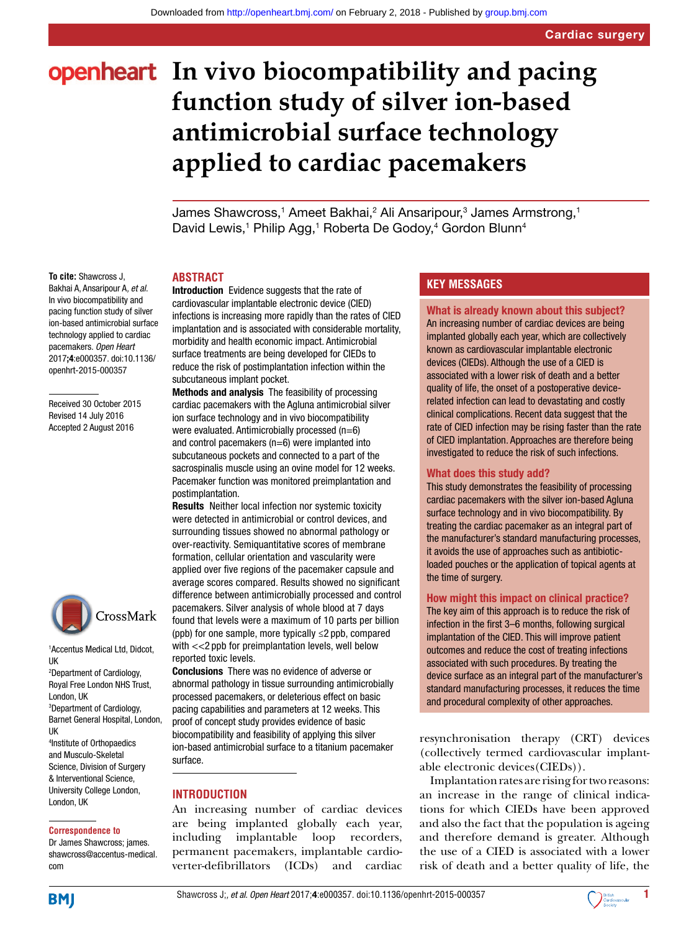# **openheart** In vivo biocompatibility and pacing **function study of silver ion-based antimicrobial surface technology applied to cardiac pacemakers**

James Shawcross,<sup>1</sup> Ameet Bakhai,<sup>2</sup> Ali Ansaripour,<sup>3</sup> James Armstrong,<sup>1</sup> David Lewis,<sup>1</sup> Philip Agg,<sup>1</sup> Roberta De Godoy,<sup>4</sup> Gordon Blunn<sup>4</sup>

**ABSTRACT**

Introduction Evidence suggests that the rate of cardiovascular implantable electronic device (CIED) infections is increasing more rapidly than the rates of CIED implantation and is associated with considerable mortality, morbidity and health economic impact. Antimicrobial surface treatments are being developed for CIEDs to reduce the risk of postimplantation infection within the subcutaneous implant pocket.

Methods and analysis The feasibility of processing cardiac pacemakers with the Agluna antimicrobial silver ion surface technology and in vivo biocompatibility were evaluated. Antimicrobially processed (n=6) and control pacemakers (n=6) were implanted into subcutaneous pockets and connected to a part of the sacrospinalis muscle using an ovine model for 12 weeks. Pacemaker function was monitored preimplantation and postimplantation.

Results Neither local infection nor systemic toxicity were detected in antimicrobial or control devices, and surrounding tissues showed no abnormal pathology or over-reactivity. Semiquantitative scores of membrane formation, cellular orientation and vascularity were applied over five regions of the pacemaker capsule and average scores compared. Results showed no significant difference between antimicrobially processed and control pacemakers. Silver analysis of whole blood at 7 days found that levels were a maximum of 10 parts per billion (ppb) for one sample, more typically ≤2 ppb, compared with <<2 ppb for preimplantation levels, well below reported toxic levels.

Conclusions There was no evidence of adverse or abnormal pathology in tissue surrounding antimicrobially processed pacemakers, or deleterious effect on basic pacing capabilities and parameters at 12 weeks. This proof of concept study provides evidence of basic biocompatibility and feasibility of applying this silver ion-based antimicrobial surface to a titanium pacemaker surface.

# **INTRODUCTION**

An increasing number of cardiac devices are being implanted globally each year, including implantable loop recorders, permanent pacemakers, implantable cardioverter-defibrillators (ICDs) and cardiac

# **KEY MESSAGES**

What is already known about this subject? An increasing number of cardiac devices are being implanted globally each year, which are collectively known as cardiovascular implantable electronic devices (CIEDs). Although the use of a CIED is associated with a lower risk of death and a better quality of life, the onset of a postoperative devicerelated infection can lead to devastating and costly clinical complications. Recent data suggest that the rate of CIED infection may be rising faster than the rate of CIED implantation. Approaches are therefore being investigated to reduce the risk of such infections.

#### What does this study add?

This study demonstrates the feasibility of processing cardiac pacemakers with the silver ion-based Agluna surface technology and in vivo biocompatibility. By treating the cardiac pacemaker as an integral part of the manufacturer's standard manufacturing processes, it avoids the use of approaches such as antibioticloaded pouches or the application of topical agents at the time of surgery.

### How might this impact on clinical practice?

The key aim of this approach is to reduce the risk of infection in the first 3–6 months, following surgical implantation of the CIED. This will improve patient outcomes and reduce the cost of treating infections associated with such procedures. By treating the device surface as an integral part of the manufacturer's standard manufacturing processes, it reduces the time and procedural complexity of other approaches.

resynchronisation therapy (CRT) devices (collectively termed cardiovascular implantable electronic devices(CIEDs)).

Implantation rates are rising for two reasons: an increase in the range of clinical indications for which CIEDs have been approved and also the fact that the population is ageing and therefore demand is greater. Although the use of a CIED is associated with a lower risk of death and a better quality of life, the

**To cite:** Shawcross J, Bakhai A, Ansaripour A*, et al*. In vivo biocompatibility and pacing function study of silver ion-based antimicrobial surface technology applied to cardiac pacemakers*. Open Heart* 2017;4:e000357. doi:10.1136/ openhrt-2015-000357

Received 30 October 2015 Revised 14 July 2016 Accepted 2 August 2016



1 Accentus Medical Ltd, Didcot, UK 2 Department of Cardiology, Royal Free London NHS Trust,

London, UK 3 Department of Cardiology, Barnet General Hospital, London, UK

4 Institute of Orthopaedics and Musculo-Skeletal Science, Division of Surgery & Interventional Science, University College London, London, UK

#### **Correspondence to**

Dr James Shawcross; james. shawcross@accentus-medical. com



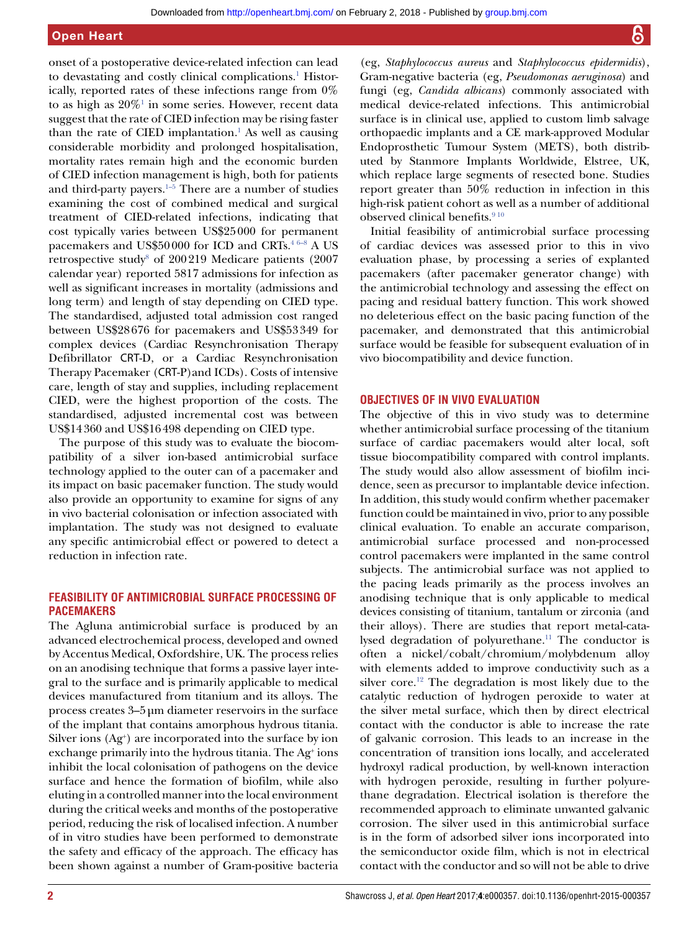onset of a postoperative device-related infection can lead to devastating and costly clinical complications.<sup>1</sup> Historically, reported rates of these infections range from 0% to as high as  $20\%$ <sup>1</sup> in some series. However, recent data suggest that the rate of CIED infection may be rising faster than the rate of CIED implantation.<sup>1</sup> As well as causing considerable morbidity and prolonged hospitalisation, mortality rates remain high and the economic burden of CIED infection management is high, both for patients and third-party payers.<sup>1–5</sup> There are a number of studies examining the cost of combined medical and surgical treatment of CIED-related infections, indicating that cost typically varies between US\$25000 for permanent pacemakers and US\$50000 for ICD and CRTs.<sup>46–8</sup> A US retrospective study<sup>8</sup> of 200219 Medicare patients (2007 calendar year) reported 5817 admissions for infection as well as significant increases in mortality (admissions and long term) and length of stay depending on CIED type. The standardised, adjusted total admission cost ranged between US\$28676 for pacemakers and US\$53349 for complex devices (Cardiac Resynchronisation Therapy Defibrillator CRT-D, or a Cardiac Resynchronisation Therapy Pacemaker (CRT-P)and ICDs). Costs of intensive care, length of stay and supplies, including replacement CIED, were the highest proportion of the costs. The standardised, adjusted incremental cost was between US\$14360 and US\$16498 depending on CIED type.

The purpose of this study was to evaluate the biocompatibility of a silver ion-based antimicrobial surface technology applied to the outer can of a pacemaker and its impact on basic pacemaker function. The study would also provide an opportunity to examine for signs of any in vivo bacterial colonisation or infection associated with implantation. The study was not designed to evaluate any specific antimicrobial effect or powered to detect a reduction in infection rate.

# **FEASIBILITY OF ANTIMICROBIAL SURFACE PROCESSING OF PACEMAKERS**

The Agluna antimicrobial surface is produced by an advanced electrochemical process, developed and owned by Accentus Medical, Oxfordshire, UK. The process relies on an anodising technique that forms a passive layer integral to the surface and is primarily applicable to medical devices manufactured from titanium and its alloys. The process creates 3–5µm diameter reservoirs in the surface of the implant that contains amorphous hydrous titania. Silver ions (Ag<sup>+</sup>) are incorporated into the surface by ion exchange primarily into the hydrous titania. The Ag<sup>+</sup> ions inhibit the local colonisation of pathogens on the device surface and hence the formation of biofilm, while also eluting in a controlled manner into the local environment during the critical weeks and months of the postoperative period, reducing the risk of localised infection. A number of in vitro studies have been performed to demonstrate the safety and efficacy of the approach. The efficacy has been shown against a number of Gram-positive bacteria

observed clinical benefits.<sup>910</sup> Initial feasibility of antimicrobial surface processing of cardiac devices was assessed prior to this in vivo evaluation phase, by processing a series of explanted pacemakers (after pacemaker generator change) with the antimicrobial technology and assessing the effect on pacing and residual battery function. This work showed no deleterious effect on the basic pacing function of the pacemaker, and demonstrated that this antimicrobial surface would be feasible for subsequent evaluation of in vivo biocompatibility and device function.

report greater than 50% reduction in infection in this high-risk patient cohort as well as a number of additional

#### **OBJECTIVES OF IN VIVO EVALUATION**

The objective of this in vivo study was to determine whether antimicrobial surface processing of the titanium surface of cardiac pacemakers would alter local, soft tissue biocompatibility compared with control implants. The study would also allow assessment of biofilm incidence, seen as precursor to implantable device infection. In addition, this study would confirm whether pacemaker function could be maintained in vivo, prior to any possible clinical evaluation. To enable an accurate comparison, antimicrobial surface processed and non-processed control pacemakers were implanted in the same control subjects. The antimicrobial surface was not applied to the pacing leads primarily as the process involves an anodising technique that is only applicable to medical devices consisting of titanium, tantalum or zirconia (and their alloys). There are studies that report metal-catalysed degradation of polyurethane.<sup>11</sup> The conductor is often a nickel/cobalt/chromium/molybdenum alloy with elements added to improve conductivity such as a silver core.<sup>[12](#page-6-5)</sup> The degradation is most likely due to the catalytic reduction of hydrogen peroxide to water at the silver metal surface, which then by direct electrical contact with the conductor is able to increase the rate of galvanic corrosion. This leads to an increase in the concentration of transition ions locally, and accelerated hydroxyl radical production, by well-known interaction with hydrogen peroxide, resulting in further polyurethane degradation. Electrical isolation is therefore the recommended approach to eliminate unwanted galvanic corrosion. The silver used in this antimicrobial surface is in the form of adsorbed silver ions incorporated into the semiconductor oxide film, which is not in electrical contact with the conductor and so will not be able to drive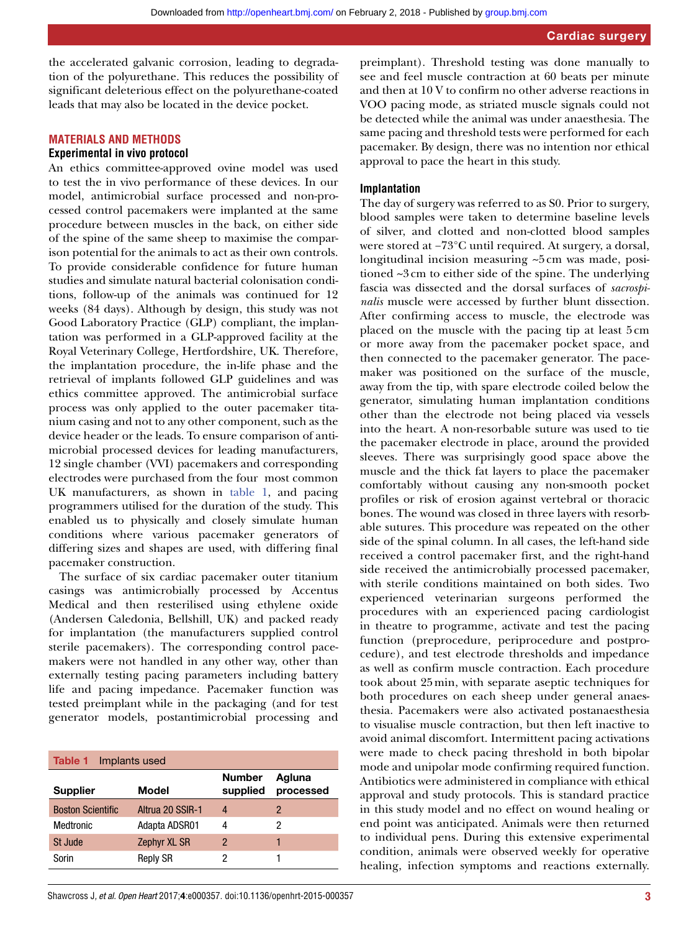the accelerated galvanic corrosion, leading to degradation of the polyurethane. This reduces the possibility of significant deleterious effect on the polyurethane-coated leads that may also be located in the device pocket.

# **MATERIALS AND METHODS**

# **Experimental in vivo protocol**

An ethics committee-approved ovine model was used to test the in vivo performance of these devices. In our model, antimicrobial surface processed and non-processed control pacemakers were implanted at the same procedure between muscles in the back, on either side of the spine of the same sheep to maximise the comparison potential for the animals to act as their own controls. To provide considerable confidence for future human studies and simulate natural bacterial colonisation conditions, follow-up of the animals was continued for 12 weeks (84 days). Although by design, this study was not Good Laboratory Practice (GLP) compliant, the implantation was performed in a GLP-approved facility at the Royal Veterinary College, Hertfordshire, UK. Therefore, the implantation procedure, the in-life phase and the retrieval of implants followed GLP guidelines and was ethics committee approved. The antimicrobial surface process was only applied to the outer pacemaker titanium casing and not to any other component, such as the device header or the leads. To ensure comparison of antimicrobial processed devices for leading manufacturers, 12 single chamber (VVI) pacemakers and corresponding electrodes were purchased from the four most common UK manufacturers, as shown in [table](#page-2-0) 1, and pacing programmers utilised for the duration of the study. This enabled us to physically and closely simulate human conditions where various pacemaker generators of differing sizes and shapes are used, with differing final pacemaker construction.

The surface of six cardiac pacemaker outer titanium casings was antimicrobially processed by Accentus Medical and then resterilised using ethylene oxide (Andersen Caledonia, Bellshill, UK) and packed ready for implantation (the manufacturers supplied control sterile pacemakers). The corresponding control pacemakers were not handled in any other way, other than externally testing pacing parameters including battery life and pacing impedance. Pacemaker function was tested preimplant while in the packaging (and for test generator models, postantimicrobial processing and

<span id="page-2-0"></span>

| <b>Table 1</b> Implants used |                  |                           |                     |  |
|------------------------------|------------------|---------------------------|---------------------|--|
| <b>Supplier</b>              | Model            | <b>Number</b><br>supplied | Agluna<br>processed |  |
| <b>Boston Scientific</b>     | Altrua 20 SSIR-1 | 4                         | 2                   |  |
| Medtronic                    | Adapta ADSR01    | 4                         | 2                   |  |
| St Jude                      | Zephyr XL SR     | 2                         |                     |  |
| Sorin                        | <b>Reply SR</b>  | 2                         |                     |  |

Shawcross J*, et al. Open Heart* 2017;4:e000357. doi:10.1136/openhrt-2015-000357 3

preimplant). Threshold testing was done manually to see and feel muscle contraction at 60 beats per minute and then at 10 V to confirm no other adverse reactions in VOO pacing mode, as striated muscle signals could not be detected while the animal was under anaesthesia. The same pacing and threshold tests were performed for each pacemaker. By design, there was no intention nor ethical approval to pace the heart in this study.

#### **Implantation**

The day of surgery was referred to as S0. Prior to surgery, blood samples were taken to determine baseline levels of silver, and clotted and non-clotted blood samples were stored at −73°C until required. At surgery, a dorsal, longitudinal incision measuring ~5 cm was made, positioned ~3 cm to either side of the spine. The underlying fascia was dissected and the dorsal surfaces of *sacrospinalis* muscle were accessed by further blunt dissection. After confirming access to muscle, the electrode was placed on the muscle with the pacing tip at least 5 cm or more away from the pacemaker pocket space, and then connected to the pacemaker generator. The pacemaker was positioned on the surface of the muscle, away from the tip, with spare electrode coiled below the generator, simulating human implantation conditions other than the electrode not being placed via vessels into the heart. A non-resorbable suture was used to tie the pacemaker electrode in place, around the provided sleeves. There was surprisingly good space above the muscle and the thick fat layers to place the pacemaker comfortably without causing any non-smooth pocket profiles or risk of erosion against vertebral or thoracic bones. The wound was closed in three layers with resorbable sutures. This procedure was repeated on the other side of the spinal column. In all cases, the left-hand side received a control pacemaker first, and the right-hand side received the antimicrobially processed pacemaker, with sterile conditions maintained on both sides. Two experienced veterinarian surgeons performed the procedures with an experienced pacing cardiologist in theatre to programme, activate and test the pacing function (preprocedure, periprocedure and postprocedure), and test electrode thresholds and impedance as well as confirm muscle contraction. Each procedure took about 25min, with separate aseptic techniques for both procedures on each sheep under general anaesthesia. Pacemakers were also activated postanaesthesia to visualise muscle contraction, but then left inactive to avoid animal discomfort. Intermittent pacing activations were made to check pacing threshold in both bipolar mode and unipolar mode confirming required function. Antibiotics were administered in compliance with ethical approval and study protocols. This is standard practice in this study model and no effect on wound healing or end point was anticipated. Animals were then returned to individual pens. During this extensive experimental condition, animals were observed weekly for operative healing, infection symptoms and reactions externally.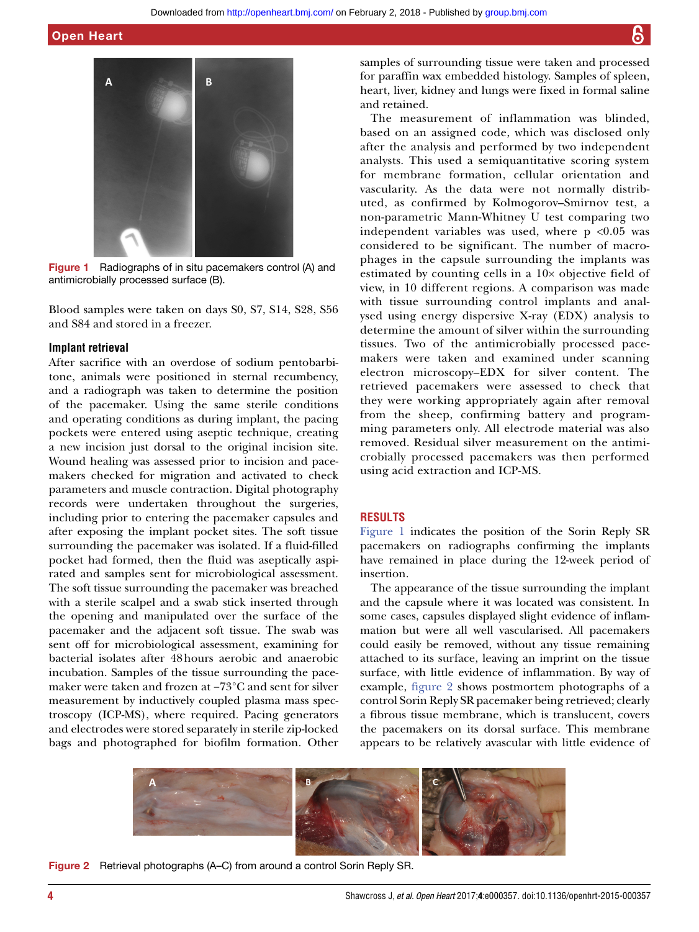#### Open Heart



**Figure 1** Radiographs of in situ pacemakers control (A) and antimicrobially processed surface (B).

<span id="page-3-0"></span>Blood samples were taken on days S0, S7, S14, S28, S56 and S84 and stored in a freezer.

#### **Implant retrieval**

After sacrifice with an overdose of sodium pentobarbitone, animals were positioned in sternal recumbency, and a radiograph was taken to determine the position of the pacemaker. Using the same sterile conditions and operating conditions as during implant, the pacing pockets were entered using aseptic technique, creating a new incision just dorsal to the original incision site. Wound healing was assessed prior to incision and pacemakers checked for migration and activated to check parameters and muscle contraction. Digital photography records were undertaken throughout the surgeries, including prior to entering the pacemaker capsules and after exposing the implant pocket sites. The soft tissue surrounding the pacemaker was isolated. If a fluid-filled pocket had formed, then the fluid was aseptically aspirated and samples sent for microbiological assessment. The soft tissue surrounding the pacemaker was breached with a sterile scalpel and a swab stick inserted through the opening and manipulated over the surface of the pacemaker and the adjacent soft tissue. The swab was sent off for microbiological assessment, examining for bacterial isolates after 48hours aerobic and anaerobic incubation. Samples of the tissue surrounding the pacemaker were taken and frozen at −73°C and sent for silver measurement by inductively coupled plasma mass spectroscopy (ICP-MS), where required. Pacing generators and electrodes were stored separately in sterile zip-locked bags and photographed for biofilm formation. Other

samples of surrounding tissue were taken and processed for paraffin wax embedded histology. Samples of spleen, heart, liver, kidney and lungs were fixed in formal saline and retained.

The measurement of inflammation was blinded, based on an assigned code, which was disclosed only after the analysis and performed by two independent analysts. This used a semiquantitative scoring system for membrane formation, cellular orientation and vascularity. As the data were not normally distributed, as confirmed by Kolmogorov–Smirnov test, a non-parametric Mann-Whitney U test comparing two independent variables was used, where  $p < 0.05$  was considered to be significant. The number of macrophages in the capsule surrounding the implants was estimated by counting cells in a 10× objective field of view, in 10 different regions. A comparison was made with tissue surrounding control implants and analysed using energy dispersive X-ray (EDX) analysis to determine the amount of silver within the surrounding tissues. Two of the antimicrobially processed pacemakers were taken and examined under scanning electron microscopy–EDX for silver content. The retrieved pacemakers were assessed to check that they were working appropriately again after removal from the sheep, confirming battery and programming parameters only. All electrode material was also removed. Residual silver measurement on the antimicrobially processed pacemakers was then performed using acid extraction and ICP-MS.

#### **RESULTS**

[Figure](#page-3-0) 1 indicates the position of the Sorin Reply SR pacemakers on radiographs confirming the implants have remained in place during the 12-week period of insertion.

The appearance of the tissue surrounding the implant and the capsule where it was located was consistent. In some cases, capsules displayed slight evidence of inflammation but were all well vascularised. All pacemakers could easily be removed, without any tissue remaining attached to its surface, leaving an imprint on the tissue surface, with little evidence of inflammation. By way of example, [figure](#page-3-1) 2 shows postmortem photographs of a control Sorin Reply SR pacemaker being retrieved; clearly a fibrous tissue membrane, which is translucent, covers the pacemakers on its dorsal surface. This membrane appears to be relatively avascular with little evidence of

<span id="page-3-1"></span>

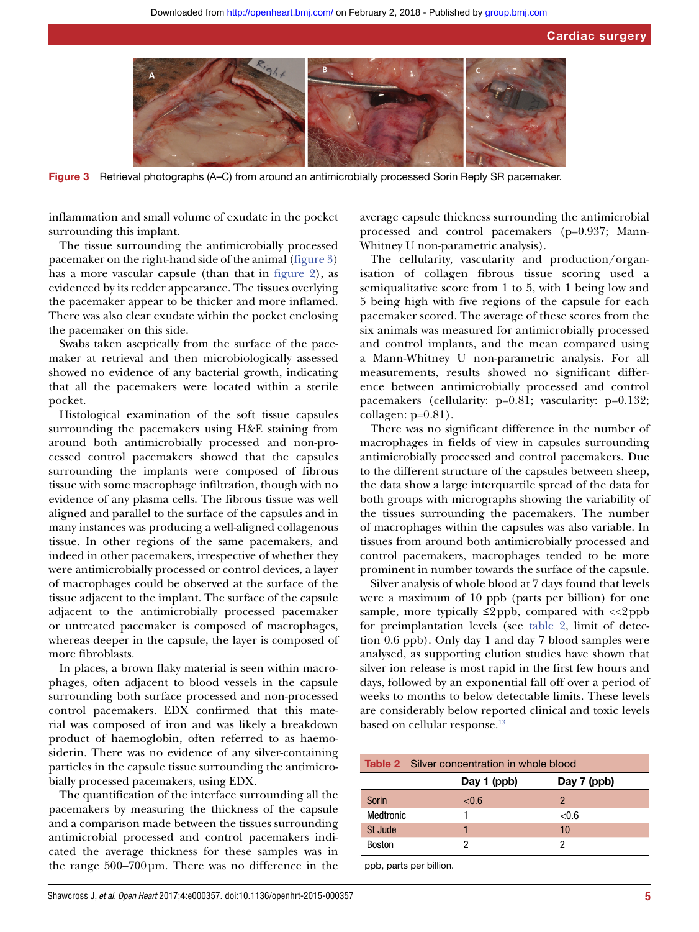

Figure 3 Retrieval photographs (A–C) from around an antimicrobially processed Sorin Reply SR pacemaker.

inflammation and small volume of exudate in the pocket surrounding this implant.

The tissue surrounding the antimicrobially processed pacemaker on the right-hand side of the animal ([figure](#page-4-0) 3) has a more vascular capsule (than that in [figure](#page-3-1) 2), as evidenced by its redder appearance. The tissues overlying the pacemaker appear to be thicker and more inflamed. There was also clear exudate within the pocket enclosing the pacemaker on this side.

Swabs taken aseptically from the surface of the pacemaker at retrieval and then microbiologically assessed showed no evidence of any bacterial growth, indicating that all the pacemakers were located within a sterile pocket.

Histological examination of the soft tissue capsules surrounding the pacemakers using H&E staining from around both antimicrobially processed and non-processed control pacemakers showed that the capsules surrounding the implants were composed of fibrous tissue with some macrophage infiltration, though with no evidence of any plasma cells. The fibrous tissue was well aligned and parallel to the surface of the capsules and in many instances was producing a well-aligned collagenous tissue. In other regions of the same pacemakers, and indeed in other pacemakers, irrespective of whether they were antimicrobially processed or control devices, a layer of macrophages could be observed at the surface of the tissue adjacent to the implant. The surface of the capsule adjacent to the antimicrobially processed pacemaker or untreated pacemaker is composed of macrophages, whereas deeper in the capsule, the layer is composed of more fibroblasts.

In places, a brown flaky material is seen within macrophages, often adjacent to blood vessels in the capsule surrounding both surface processed and non-processed control pacemakers. EDX confirmed that this material was composed of iron and was likely a breakdown product of haemoglobin, often referred to as haemosiderin. There was no evidence of any silver-containing particles in the capsule tissue surrounding the antimicrobially processed pacemakers, using EDX.

The quantification of the interface surrounding all the pacemakers by measuring the thickness of the capsule and a comparison made between the tissues surrounding antimicrobial processed and control pacemakers indicated the average thickness for these samples was in the range 500–700µm. There was no difference in the

<span id="page-4-0"></span>average capsule thickness surrounding the antimicrobial processed and control pacemakers (p=0.937; Mann-Whitney U non-parametric analysis).

The cellularity, vascularity and production/organisation of collagen fibrous tissue scoring used a semiqualitative score from 1 to 5, with 1 being low and 5 being high with five regions of the capsule for each pacemaker scored. The average of these scores from the six animals was measured for antimicrobially processed and control implants, and the mean compared using a Mann-Whitney U non-parametric analysis. For all measurements, results showed no significant difference between antimicrobially processed and control pacemakers (cellularity: p=0.81; vascularity: p=0.132; collagen: p=0.81).

There was no significant difference in the number of macrophages in fields of view in capsules surrounding antimicrobially processed and control pacemakers. Due to the different structure of the capsules between sheep, the data show a large interquartile spread of the data for both groups with micrographs showing the variability of the tissues surrounding the pacemakers. The number of macrophages within the capsules was also variable. In tissues from around both antimicrobially processed and control pacemakers, macrophages tended to be more prominent in number towards the surface of the capsule.

Silver analysis of whole blood at 7 days found that levels were a maximum of 10 ppb (parts per billion) for one sample, more typically  $\leq$ 2ppb, compared with  $<<$ 2ppb for preimplantation levels (see [table](#page-4-1) 2, limit of detection 0.6 ppb). Only day 1 and day 7 blood samples were analysed, as supporting elution studies have shown that silver ion release is most rapid in the first few hours and days, followed by an exponential fall off over a period of weeks to months to below detectable limits. These levels are considerably below reported clinical and toxic levels based on cellular response.<sup>[13](#page-6-6)</sup>

<span id="page-4-1"></span>

| <b>Table 2</b> Silver concentration in whole blood |             |             |  |
|----------------------------------------------------|-------------|-------------|--|
|                                                    | Day 1 (ppb) | Day 7 (ppb) |  |
| Sorin                                              | < 0.6       | 2           |  |
| <b>Medtronic</b>                                   |             | < 0.6       |  |
| St Jude                                            |             | 10          |  |
| <b>Boston</b>                                      |             | 2           |  |

ppb, parts per billion.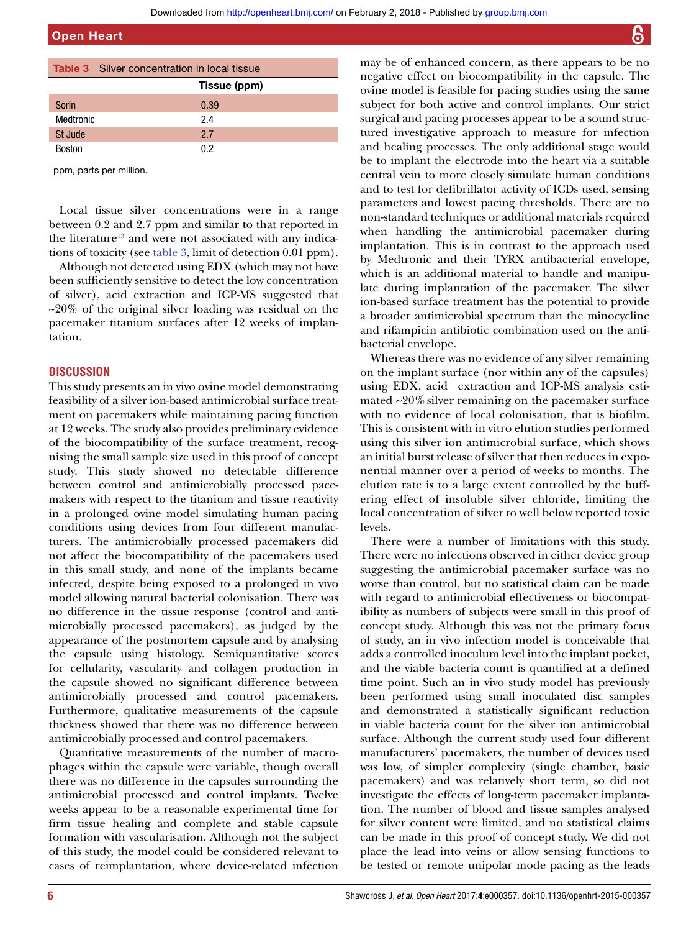| <b>Open Heart</b> |  |
|-------------------|--|
|                   |  |

<span id="page-5-0"></span>

|                  | <b>Table 3</b> Silver concentration in local tissue |
|------------------|-----------------------------------------------------|
|                  | Tissue (ppm)                                        |
| <b>Sorin</b>     | 0.39                                                |
| <b>Medtronic</b> | 24                                                  |
| St Jude          | 2.7                                                 |
| <b>Boston</b>    | 0.2                                                 |
|                  |                                                     |

ppm, parts per million.

Local tissue silver concentrations were in a range between 0.2 and 2.7 ppm and similar to that reported in the literature<sup>13</sup> and were not associated with any indications of toxicity (see [table](#page-5-0) 3, limit of detection 0.01 ppm).

Although not detected using EDX (which may not have been sufficiently sensitive to detect the low concentration of silver), acid extraction and ICP-MS suggested that ~20% of the original silver loading was residual on the pacemaker titanium surfaces after 12 weeks of implantation.

#### **DISCUSSION**

This study presents an in vivo ovine model demonstrating feasibility of a silver ion-based antimicrobial surface treatment on pacemakers while maintaining pacing function at 12 weeks. The study also provides preliminary evidence of the biocompatibility of the surface treatment, recognising the small sample size used in this proof of concept study. This study showed no detectable difference between control and antimicrobially processed pacemakers with respect to the titanium and tissue reactivity in a prolonged ovine model simulating human pacing conditions using devices from four different manufacturers. The antimicrobially processed pacemakers did not affect the biocompatibility of the pacemakers used in this small study, and none of the implants became infected, despite being exposed to a prolonged in vivo model allowing natural bacterial colonisation. There was no difference in the tissue response (control and antimicrobially processed pacemakers), as judged by the appearance of the postmortem capsule and by analysing the capsule using histology. Semiquantitative scores for cellularity, vascularity and collagen production in the capsule showed no significant difference between antimicrobially processed and control pacemakers. Furthermore, qualitative measurements of the capsule thickness showed that there was no difference between antimicrobially processed and control pacemakers.

Quantitative measurements of the number of macrophages within the capsule were variable, though overall there was no difference in the capsules surrounding the antimicrobial processed and control implants. Twelve weeks appear to be a reasonable experimental time for firm tissue healing and complete and stable capsule formation with vascularisation. Although not the subject of this study, the model could be considered relevant to cases of reimplantation, where device-related infection

may be of enhanced concern, as there appears to be no negative effect on biocompatibility in the capsule. The ovine model is feasible for pacing studies using the same subject for both active and control implants. Our strict surgical and pacing processes appear to be a sound structured investigative approach to measure for infection and healing processes. The only additional stage would be to implant the electrode into the heart via a suitable central vein to more closely simulate human conditions and to test for defibrillator activity of ICDs used, sensing parameters and lowest pacing thresholds. There are no non-standard techniques or additional materials required when handling the antimicrobial pacemaker during implantation. This is in contrast to the approach used by Medtronic and their TYRX antibacterial envelope, which is an additional material to handle and manipulate during implantation of the pacemaker. The silver ion-based surface treatment has the potential to provide a broader antimicrobial spectrum than the minocycline and rifampicin antibiotic combination used on the antibacterial envelope.

Whereas there was no evidence of any silver remaining on the implant surface (nor within any of the capsules) using EDX, acid extraction and ICP-MS analysis estimated  $\approx$ 20% silver remaining on the pacemaker surface with no evidence of local colonisation, that is biofilm. This is consistent with in vitro elution studies performed using this silver ion antimicrobial surface, which shows an initial burst release of silver that then reduces in exponential manner over a period of weeks to months. The elution rate is to a large extent controlled by the buffering effect of insoluble silver chloride, limiting the local concentration of silver to well below reported toxic levels.

There were a number of limitations with this study. There were no infections observed in either device group suggesting the antimicrobial pacemaker surface was no worse than control, but no statistical claim can be made with regard to antimicrobial effectiveness or biocompatibility as numbers of subjects were small in this proof of concept study. Although this was not the primary focus of study, an in vivo infection model is conceivable that adds a controlled inoculum level into the implant pocket, and the viable bacteria count is quantified at a defined time point. Such an in vivo study model has previously been performed using small inoculated disc samples and demonstrated a statistically significant reduction in viable bacteria count for the silver ion antimicrobial surface. Although the current study used four different manufacturers' pacemakers, the number of devices used was low, of simpler complexity (single chamber, basic pacemakers) and was relatively short term, so did not investigate the effects of long-term pacemaker implantation. The number of blood and tissue samples analysed for silver content were limited, and no statistical claims can be made in this proof of concept study. We did not place the lead into veins or allow sensing functions to be tested or remote unipolar mode pacing as the leads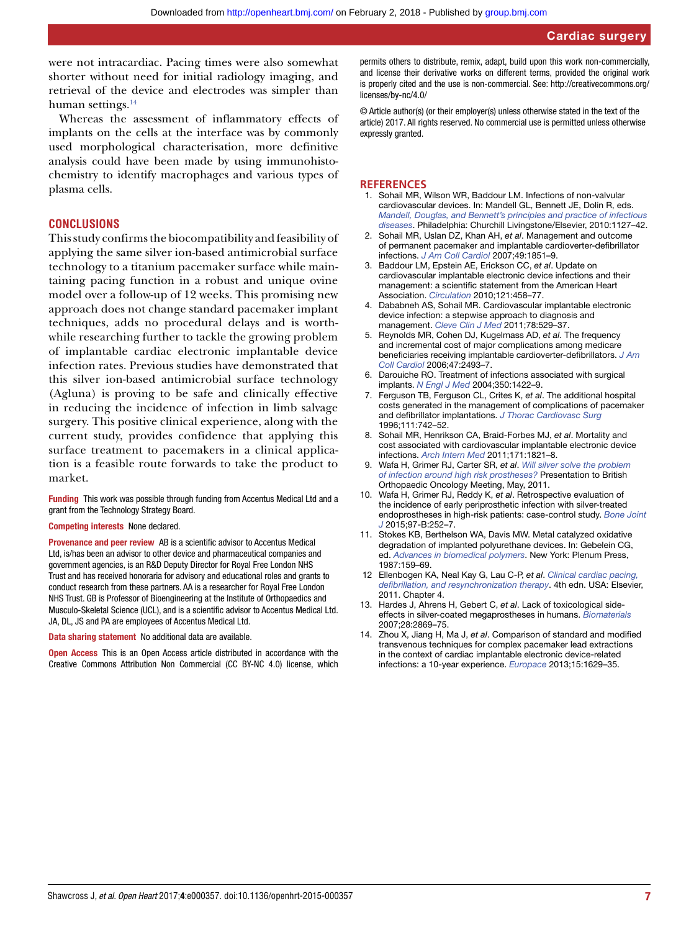were not intracardiac. Pacing times were also somewhat shorter without need for initial radiology imaging, and retrieval of the device and electrodes was simpler than human settings.<sup>14</sup>

Whereas the assessment of inflammatory effects of implants on the cells at the interface was by commonly used morphological characterisation, more definitive analysis could have been made by using immunohistochemistry to identify macrophages and various types of plasma cells.

# **CONCLUSIONS**

This study confirms the biocompatibility and feasibility of applying the same silver ion-based antimicrobial surface technology to a titanium pacemaker surface while maintaining pacing function in a robust and unique ovine model over a follow-up of 12 weeks. This promising new approach does not change standard pacemaker implant techniques, adds no procedural delays and is worthwhile researching further to tackle the growing problem of implantable cardiac electronic implantable device infection rates. Previous studies have demonstrated that this silver ion-based antimicrobial surface technology (Agluna) is proving to be safe and clinically effective in reducing the incidence of infection in limb salvage surgery. This positive clinical experience, along with the current study, provides confidence that applying this surface treatment to pacemakers in a clinical application is a feasible route forwards to take the product to market.

Funding This work was possible through funding from Accentus Medical Ltd and a grant from the Technology Strategy Board.

Competing interests None declared.

Provenance and peer review AB is a scientific advisor to Accentus Medical Ltd, is/has been an advisor to other device and pharmaceutical companies and government agencies, is an R&D Deputy Director for Royal Free London NHS Trust and has received honoraria for advisory and educational roles and grants to conduct research from these partners. AA is a researcher for Royal Free London NHS Trust. GB is Professor of Bioengineering at the Institute of Orthopaedics and Musculo-Skeletal Science (UCL), and is a scientific advisor to Accentus Medical Ltd. JA, DL, JS and PA are employees of Accentus Medical Ltd.

Data sharing statement No additional data are available.

Open Access This is an Open Access article distributed in accordance with the Creative Commons Attribution Non Commercial (CC BY-NC 4.0) license, which

permits others to distribute, remix, adapt, build upon this work non-commercially, and license their derivative works on different terms, provided the original work is properly cited and the use is non-commercial. See: http://creativecommons.org/ licenses/by-nc/4.0/

© Article author(s) (or their employer(s) unless otherwise stated in the text of the article) 2017. All rights reserved. No commercial use is permitted unless otherwise expressly granted.

#### <span id="page-6-0"></span>**REFERENCES**

- 1. Sohail MR, Wilson WR, Baddour LM. Infections of non-valvular cardiovascular devices. In: Mandell GL, Bennett JE, Dolin R, eds. *Mandell, D[ouglas, and Benne](http://dx.doi.org/10.1016/j.jacc.2007.01.072)tt's principles and practice of infectious diseases*. Philadelphia: Churchill Livingstone/Elsevier, 2010:1127–42.
- 2. Sohail MR, Uslan DZ, Khan AH, *et al*. Management and outcome of permanent pacemaker and implantable cardioverter-defibrillator infections. *J [Am Coll Ca](http://dx.doi.org/10.1161/CIRCULATIONAHA.109.192665)rdiol* 2007;49:1851–9.
- <span id="page-6-1"></span>3. Baddour LM, Epstein AE, Erickson CC, *et al*. Update on cardiovascular implantable electronic device infections and their management: [a scientific statem](http://dx.doi.org/10.3949/ccjm.78a.10169)ent from the American Heart Association. *Circulation* 2010;121:458–77.
- 4. Dababneh AS, Sohail MR. Cardiovascular implantable electro[nic](http://dx.doi.org/10.1016/j.jacc.2006.02.049)  device infection: a stepwise approach to diagnosis and [managemen](http://dx.doi.org/10.1016/j.jacc.2006.02.049)t. *Cleve Clin J Med* 2011;78:529–37.
- 5. Reynolds MR, Cohen DJ, Kugelmass AD, *et al*. The frequency and incre[mental cost of](http://dx.doi.org/10.1056/NEJMra035415) major complications among medicare beneficiaries receiving implantable cardioverter-defibrillators. *J Am Coll Cardiol* 2006;47:2493–7.
- 6. Darouiche RO. Treatment of in[fections associated with su](http://dx.doi.org/10.1016/S0022-5223(96)70334-3)rgical implants. *N Engl J Med* 2004;350:1422–9.
- <span id="page-6-2"></span>7. Ferguson TB, Ferguson CL, Crites K, *et al*. The additional hospital costs generated in the management of complications of pacemaker and defibri[llator implantatio](http://dx.doi.org/10.1001/archinternmed.2011.441)ns. *J Thorac Cardiovasc Surg* 1996;111:742–52.
- <span id="page-6-3"></span>8. Sohail MR, Henrikson CA, Braid-Forbes MJ, *et al*. Mortality and cost associated with cardiovascular implantable electronic device infections. *Arch Intern Med* 2011;171:1821–8.
- 9. Wafa H, Grimer RJ, Carter SR, *et al*. *Will silver solve the problem of infection around high risk prostheses?* Presentation to [British](http://dx.doi.org/10.1302/0301-620X.97B2.34554)  [O](http://dx.doi.org/10.1302/0301-620X.97B2.34554)rthopaedic Oncology Meeting, May, 2011.
- <span id="page-6-4"></span>10. Wafa H, Grimer RJ, Reddy K, *et al*. Retrospective evaluation of the incidence of early periprosthetic infection with silver-treated endoprostheses in high-risk patients: case-control study. *Bone Joint J* 2015;97-B:252–7.
- <span id="page-6-5"></span>11. Stokes KB, Berthelson WA, Davis MW. Metal catalyzed oxidative degradation of implanted polyurethane devices. In: Gebelein CG, ed. *Advances in biomedical polymers*. New York: Plenum Press, 1987:159–69.
- <span id="page-6-7"></span><span id="page-6-6"></span>12 Ellenbogen KA, Neal Kay G, Lau C-P, *et al*. *Clinical [cardiac pacing](http://dx.doi.org/10.1016/j.biomaterials.2007.02.033), defibrillation, and resynchronization therapy*. 4th edn. USA: Elsevier, 2011. Chapter 4.
- 13. Hardes J, Ahrens H, Gebert C, *et al*. Lack of toxicological sideeffects in silver-coated megapro[stheses in](http://dx.doi.org/10.1093/europace/eut077) humans. *Biomaterials* 2007;28:2869–75.
- 14. Zhou X, Jiang H, Ma J, *et al*. Comparison of standard and modified transvenous techniques for complex pacemaker lead extractions in the context of cardiac implantable electronic device-related infections: a 10-year experience. *Europace* 2013;15:1629–35.